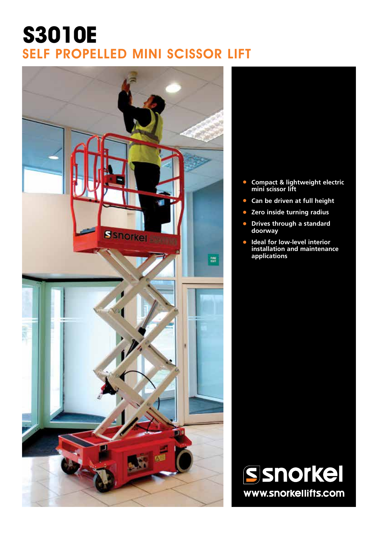## **S3010E** SELF PROPELLED MINI SCISSOR LIFT





- **• Compact & lightweight electric mini scissor lift**
- **• Can be driven at full height**
- **• Zero inside turning radius**
- **• Drives through a standard doorway**
- **• Ideal for low-level interior installation and maintenance applications**